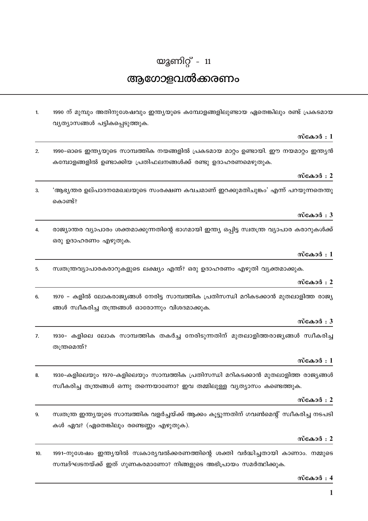# യുണിറ്റ് -  $11$ ആഗോളവൽക്കരണം

1990 ന് മുമ്പും അതിനുശേഷവും ഇന്ത്യയുടെ കമ്പോളങ്ങളിലുണ്ടായ ഏതെങ്കിലും രണ്ട് പ്രകടമായ  $\mathbf{1}$ വ്യത്യാസങ്ങൾ പട്ടികപ്പെടുത്തുക.

## സ്കോർ $:1$

1990-ഓടെ ഇന്ത്യയുടെ സാമ്പത്തിക നയങ്ങളിൽ പ്രകടമായ മാറ്റം ഉണ്ടായി. ഈ നയമാറ്റം ഇന്ത്യൻ  $\mathcal{L}$ കമ്പോളങ്ങളിൽ ഉണ്ടാക്കിയ പ്രതിഫലനങ്ങൾക്ക് രണ്ടു ഉദാഹരണമെഴുതുക.

## സ്കോർ $: 2$

 $\mathbf{r}$ 'ആഭ്യന്തര ഉല്പാദനമേഖലയുടെ സംരക്ഷണ കവചമാണ് ഇറക്കുമതിചൂങ്കം' എന്ന് പറയുന്നതെന്തു കൊണ്ട്?

## സ്കോർ $: 3$

രാജ്യാന്തര വ്യാപാരം ശക്തമാക്കുന്നതിന്റെ ഭാഗമായി ഇന്ത്യ ഒപ്പിട്ട സ്വതന്ത്ര വ്യാപാര കരാറുകൾക്ക്  $\mathbf{A}$ ഒരു ഉദാഹരണം എഴുതുക.

#### സ്കോർ $:1$

സ്ഥതന്ത്രവ്യാപാരകരാറുകളുടെ ലക്ഷ്യം എന്ത്? ഒരു ഉദാഹരണം എഴുതി വ്യക്തമാക്കുക.  $5.$ 

## സ്കോർ $: 2$

6. 1970 – കളിൽ ലോകരാജ്യങ്ങൾ നേരിട്ട സാമ്പത്തിക പ്രതിസന്ധി മറികടക്കാൻ മുതലാളിത്ത രാജ്യ ങ്ങൾ സ്വീകരിച്ച തന്ത്രങ്ങൾ ഓരോന്നും വിശദമാക്കുക.

## സ്കോർ $: 3$

1930- കളിലെ ലോക സാമ്പത്തിക തകർച്ച നേരിടുന്നതിന് മുതലാളിത്തരാജ്യങ്ങൾ സ്വീകരിച്ച  $\overline{7}$ തന്ത്രമെന്ത്?

## സ്കോർ $:1$

1930-കളിലെയും 1970-കളിലെയും സാമ്പത്തിക പ്രതിസന്ധി മറികടക്കാൻ മുതലാളിത്ത രാജ്യങ്ങൾ 8. സ്ഥീകരിച്ച തന്ത്രങ്ങൾ ഒന്നു തന്നെയാണോ? ഇവ തമ്മിലുള്ള വ്യത്യാസം കണ്ടെത്തുക.

## സ്കോർ $: 2$

സ്വതന്ത്ര ഇന്ത്യയുടെ സാമ്പത്തിക വളർച്ചയ്ക്ക് ആക്കം കൂട്ടുന്നതിന് ഗവൺമെന്റ് സ്വീകരിച്ച നടപടി 9. കൾ ഏവ? (ഏതെങ്കിലും രണ്ടെണ്ണം എഴുതുക).

## സ്കോർ $: 2$

1991-നുശേഷം ഇന്ത്യയിൽ സ്വകാര്യവൽക്കരണത്തിന്റെ ശക്തി വർദ്ധിച്ചതായി കാണാം. നമ്മുടെ  $10<sup>10</sup>$ സമ്പദ്ഘടനയ്ക്ക് ഇത് ഗുണകരമാണോ? നിങ്ങളുടെ അഭിപ്രായം സമർത്ഥിക്കുക.

## സ്കോർ $: 4$